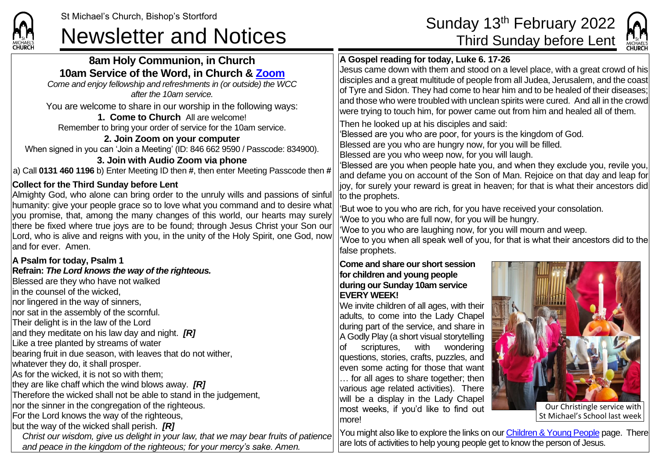# St Michael's Church, Bishop's Stortford Sunday 13<sup>th</sup> February 2022<br>Newsletter and Notices Third Sunday before Lent



# **8am Holy Communion, in Church 10am Service of the Word, in Church & [Zoom](https://zoom.us/)** *Come and enjoy fellowship and refreshments in (or outside) the WCC after the 10am service.* You are welcome to share in our worship in the following ways: **1. Come to Church** All are welcome! Remember to bring your order of service for the 10am service. **2. Join Zoom on your computer** When signed in you can 'Join a Meeting' (ID: 846 662 9590 / Passcode: 834900). **3. Join with Audio Zoom via phone** a) Call **0131 460 1196** b) Enter Meeting ID then **#**, then enter Meeting Passcode then **# Collect for the Third Sunday before Lent** Almighty God, who alone can bring order to the unruly wills and passions of sinful humanity: give your people grace so to love what you command and to desire what you promise, that, among the many changes of this world, our hearts may surely there be fixed where true joys are to be found; through Jesus Christ your Son our Lord, who is alive and reigns with you, in the unity of the Holy Spirit, one God, now and for ever. Amen. **A Psalm for today, Psalm 1 Refrain:** *The Lord knows the way of the righteous.* Blessed are they who have not walked in the counsel of the wicked, nor lingered in the way of sinners, nor sat in the assembly of the scornful. Their delight is in the law of the Lord and they meditate on his law day and night. *[R]* Like a tree planted by streams of water bearing fruit in due season, with leaves that do not wither, whatever they do, it shall prosper. As for the wicked, it is not so with them; they are like chaff which the wind blows away. *[R]* Therefore the wicked shall not be able to stand in the judgement, nor the sinner in the congregation of the righteous. For the Lord knows the way of the righteous, but the way of the wicked shall perish. *[R] Christ our wisdom, give us delight in your law, that we may bear fruits of patience and peace in the kingdom of the righteous; for your mercy's sake. Amen.* **A Gospel reading for today, Luke 6. 17-26** Jesus came down with them and stood on a level place, with a great crowd of his disciples and a great multitude of people from all Judea, Jerusalem, and the coast of Tyre and Sidon. They had come to hear him and to be healed of their diseases; and those who were troubled with unclean spirits were cured. And all in the crowd were trying to touch him, for power came out from him and healed all of them. Then he looked up at his disciples and said: 'Blessed are you who are poor, for yours is the kingdom of God. Blessed are you who are hungry now, for you will be filled. Blessed are you who weep now, for you will laugh. 'Blessed are you when people hate you, and when they exclude you, revile you, and defame you on account of the Son of Man. Rejoice on that day and leap for joy, for surely your reward is great in heaven; for that is what their ancestors did to the prophets. 'But woe to you who are rich, for you have received your consolation. 'Woe to you who are full now, for you will be hungry. 'Woe to you who are laughing now, for you will mourn and weep. 'Woe to you when all speak well of you, for that is what their ancestors did to the false prophets. **Come and share our short session for children and young people during our Sunday 10am service EVERY WEEK!** We invite children of all ages, with their adults, to come into the Lady Chapel during part of the service, and share in A Godly Play (a short visual storytelling of scriptures, with wondering questions, stories, crafts, puzzles, and even some acting for those that want … for all ages to share together; then various age related activities). There will be a display in the Lady Chapel most weeks, if you'd like to find out more! You might also like to explore the links on ou[r Children & Young People](https://saintmichaelweb.org.uk/Groups/310496/Children_and_Young.aspx) page. There are lots of activities to help young people get to know the person of Jesus. Our Christingle service with St Michael's School last week